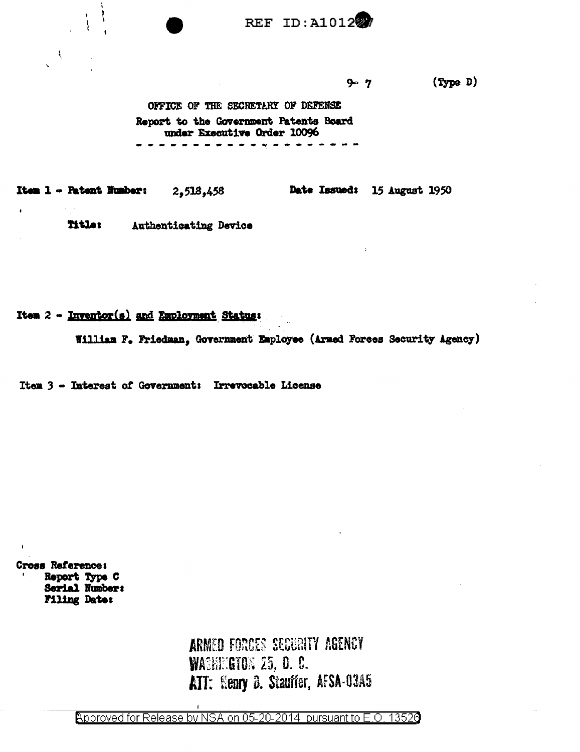**REF ID: A101227** 

 $(\text{Type } D)$  $9 - 7$ 

OFFICE OF THE SECRETARY OF DEFENSE Report to the Government Patents Board under Executive Order 10096 ---------------

Date Issued: 15 August 1950 Item 1 - Patent Number: 2,518,458

> **Title:** Authenticating Device

Item 2 - Inventor(s) and Employment Status:

₹.

A.

 $\bullet$ 

William F. Friedman, Government Employee (Armed Forces Security Agency)

Item 3 - Interest of Government: Irrevocable License

Cross Reference: Report Type C Serial Number: **Filing Date:** 

> ARMED FORCES SECURITY AGENCY **WACHEGTON 25, D. C.** ATT: Henry B. Stauffer, AFSA-03A5

Approved for Release by NSA on 05-20-2014 pursuant to E.O. 13526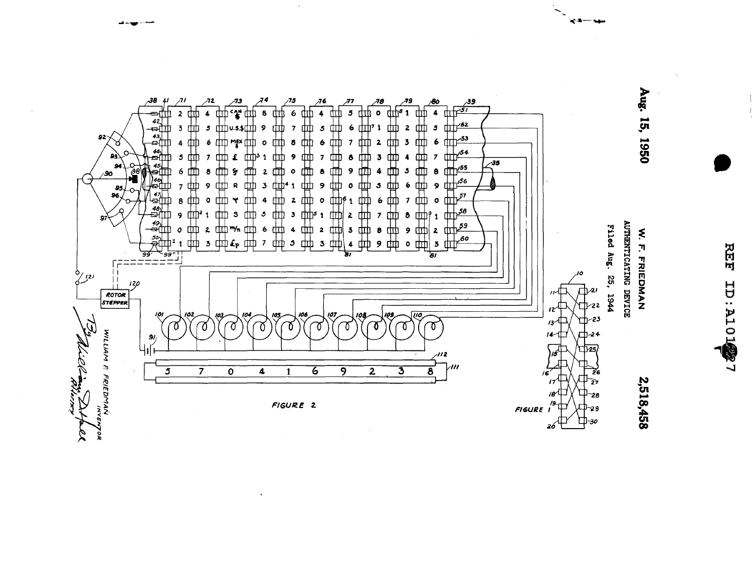

**REF** 

**TWOLE: CL** 

هجم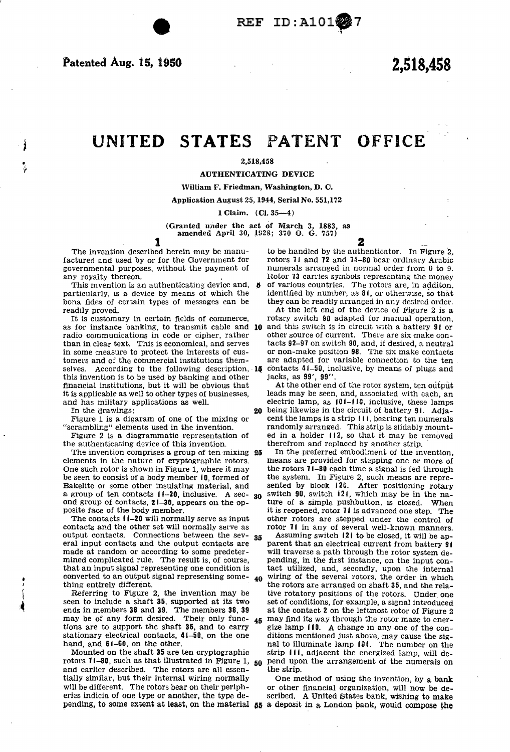• *y* 

# UNITED STATES PATENT OFFICE

## 2,518,458

AUTHENTICATING DEVICE

#### William F. Friedman, Washington, D. C.

Application August 25, 1944, Serial No. 551,172

1 Claim. (Cl. 35-4)

(Granted under the act of March 3, 1883, as amended April 30, 1928; 370 0. G. 757)

**1**<br>The invention described herein may be manufactured and used by or for the Government for rotors 11 and  $12$  and  $14-80$  bear ordinary Arabic governmental purposes, without the payment of numerals arranged in normal order from 0 to 9. governmental purposes, without the payment of

This invention is an authenticating device and, **6** of various countries. The rotors are, in additon, particularly, is a device by means of which the identified by number, as 81, or otherwise, so that bona fides of certain types of messages can be

radio communications in code or cipher, rather than in clear text. This is economical, and serves in some measure to protect the interests of cusselves. According to the following description,  $16$  contacts  $41-50$ , inclusive, by means of plugs and this invention is to be used by banking and other jacks, as 99', 99''. this invention is to be used by banking and other financial institutions, but it will be obvious that it is applicable as well to other types of businesses,

the authenticating device of this invention. therefrom and replaced by another strip.<br>The invention comprises a group of ten mixing 25 In the preferred embodiment of the invention,

elements in the nature of cryptographic rotors.<br>One such rotor is shown in Figure 1, where it may be seen to consist of a body member 10, formed of Bakelite or some other insulating material, and a group of ten contacts  $11-20$ , inclusive. A sec- 30 ond group of contacts,  $21-30$ , appears on the op-

output contacts. Connections between the sev-  $35$  Assuming switch 121 to be closed, it will be ap-<br>eral input contacts and the output contacts are parent that an electrical current from battery 91 eral input contacts and the output contacts are made at random or according to some predeterconverted to an output signal representing some-  $_{40}$ <br>thing entirely different.

rotors  $11-80$ , such as that illustrated in Figure 1,  $_{50}$  pend upo and earlier described. The rotors are all essen-<br>the strip. and earlier described. The rotors are all essentially similar, but their internal wiring normally will be different. The rotors bear on their periph-<br>eries indicia of one type or another, the type de-<br>scribed. A United States bank, wishing to make

2

to be handled by the authenticator. In Figure 2, any royalty thereon. The carries symbols representing the money

identified by number, as  $81$ , or otherwise, so that they can be readily arranged in any desired order.

readily proved.<br>It is customary in certain fields of commerce, rotary switch 90 adapted for manual operation, rotary switch 90 adapted for manual operation, as for instance banking, to transmit cable and  $10$  and this switch is in circuit with a battery  $91$  or radio communications in code or cipher, rather other source of current. There are six make contacts  $92-9'$  on switch  $90$ , and, if desired, a neutral or non-make position  $98$ . The six make contacts tomers and of the commercial institutions them- are adapted for variable connection to the ten

At the other end of the rotor system, ten output<br>leads may be seen, and, associated with each, an and has military applications as well. electric lamp, as 101-110, inclusive, these lamps<br>In the drawings:<br>20 being likewise in the circuit of battery 91. Adja-In the drawings:<br> **20** being likewise in the circuit of battery 91. Adja-<br> **20** being likewise in the circuit of battery 91. Adja-<br> **20** being likewise in the circuit of battery 91. Adja-Figure 1 is a digaram of one of the mixing or cent the lamps is a strip 111, bearing ten numerals "scrambling" elements used in the invention. This strip is slidably mountrandomly arranged. This strip is slidably mount-Figure 2 is a diagrammatic representation of ed in a holder 112, so that it may be removed e authenticating device of this invention. therefrom and replaced by another strip.

The invention comprises a group of ten mixing 25 In the preferred embodiment of the invention, ements in the nature of cryptographic rotors. The means are provided for stepping one or more of the rotors  $71-80$  each time a signal is fed through the system. In Figure 2, such means are represented by block 120. After positioning rotary switch  $90$ , switch 121, which may be in the nature of a simple pushbutton, is closed. When posite face of the body member.<br>The contacts  $11-20$  will normally serve as input other rotors are stepped under the control of The contacts 11-20 will normally serve as input other rotors are stepped under the control of contacts and the other set will normally serve as rotor 11 in any of several well-known manners. rotor 71 in any of several well-known manners.

made at random or according to some predeter-<br>mined complicated rule. The result is, of course, pending, in the first instance, on the input conmined complicated rule. The result is, of course, pending, in the first instance, on the input contained that an input signal representing one condition is tact utilized, and, secondly, upon the internal tact utilized, and, secondly, upon the internal wiring of the several rotors, the order in which the rotors are arranged on shaft 35, and the rela-<br>Referring to Figure 2, the invention may be tive rotatory positions of the rotors. Under one Referring to Figure 2, the invention may be tive rotatory positions of the rotors. Under one seen to include a shaft 35, supported at its two set of conditions, for example, a signal introduced set of conditions, for example, a signal introduced ends in members 38 and 39. The members 38, 39 at the contact 2 on the leftmost rotor of Figure 2 may be of any form desired. Their only func-  $_{45}$  may find its way through the rotor maze to enermay be of any form desired. Their only func-  $45$  may find its way through the rotor maze to cner-<br>tions are to support the shaft 35, and to carry gize lamp (10. A change in any one of the congize lamp 110. A change in any one of the constationary electrical contacts,  $41-50$ , on the one ditions mentioned just above, may cause the sighter distribution on the other. and, and  $51-60$ , on the other.<br>Mounted on the shaft 35 are ten cryptographic strip 111, adjacent the energized lamp, will destrip 111, adjacent the energized lamp, will depend upon the arrangement of the numerals on

One method of using the invention, by a bank scribed. A United States bank, wishing to make pending, to some extent at least, on the material 55 a deposit in a London bank, would compose the